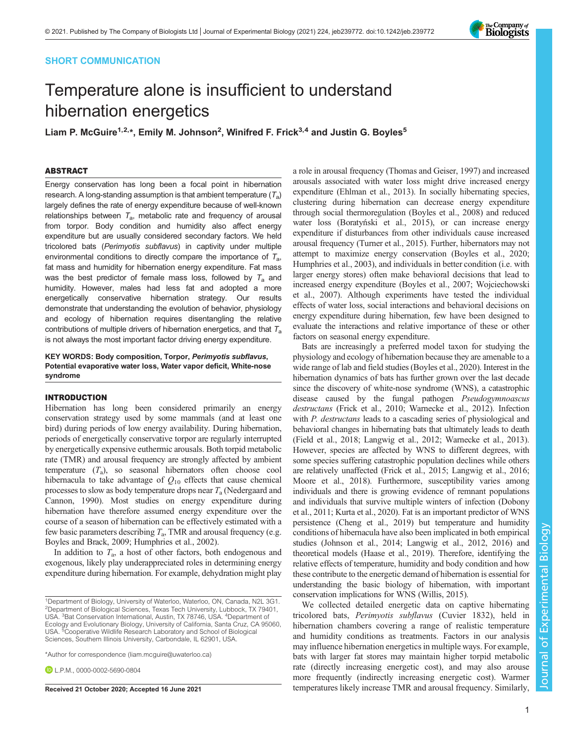## SHORT COMMUNICATION

# Temperature alone is insufficient to understand hibernation energetics

Liam P. McGuire<sup>1,2,</sup>\*, Emily M. Johnson<sup>2</sup>, Winifred F. Frick<sup>3,4</sup> and Justin G. Boyles<sup>5</sup>

## ABSTRACT

Energy conservation has long been a focal point in hibernation research. A long-standing assumption is that ambient temperature  $(T_a)$ largely defines the rate of energy expenditure because of well-known relationships between  $T_a$ , metabolic rate and frequency of arousal from torpor. Body condition and humidity also affect energy expenditure but are usually considered secondary factors. We held tricolored bats (Perimyotis subflavus) in captivity under multiple environmental conditions to directly compare the importance of  $T_{a}$ , fat mass and humidity for hibernation energy expenditure. Fat mass was the best predictor of female mass loss, followed by  $T_a$  and humidity. However, males had less fat and adopted a more energetically conservative hibernation strategy. Our results demonstrate that understanding the evolution of behavior, physiology and ecology of hibernation requires disentangling the relative contributions of multiple drivers of hibernation energetics, and that  $T_a$ is not always the most important factor driving energy expenditure.

KEY WORDS: Body composition, Torpor, Perimyotis subflavus, Potential evaporative water loss, Water vapor deficit, White-nose syndrome

## INTRODUCTION

Hibernation has long been considered primarily an energy conservation strategy used by some mammals (and at least one bird) during periods of low energy availability. During hibernation, periods of energetically conservative torpor are regularly interrupted by energetically expensive euthermic arousals. Both torpid metabolic rate (TMR) and arousal frequency are strongly affected by ambient temperature  $(T_a)$ , so seasonal hibernators often choose cool hibernacula to take advantage of  $Q_{10}$  effects that cause chemical processes to slow as body temperature drops near  $T_a$  ([Nedergaard and](#page-5-0) [Cannon, 1990](#page-5-0)). Most studies on energy expenditure during hibernation have therefore assumed energy expenditure over the course of a season of hibernation can be effectively estimated with a few basic parameters describing  $T_a$ , TMR and arousal frequency (e.g. [Boyles and Brack, 2009; Humphries et al., 2002](#page-4-0)).

In addition to  $T_a$ , a host of other factors, both endogenous and exogenous, likely play underappreciated roles in determining energy expenditure during hibernation. For example, dehydration might play

\*Author for correspondence [\(liam.mcguire@uwaterloo.ca](mailto:liam.mcguire@uwaterloo.ca))

**D** I P M [0000-0002-5690-0804](http://orcid.org/0000-0002-5690-0804)

a role in arousal frequency [\(Thomas and Geiser, 1997\)](#page-5-0) and increased arousals associated with water loss might drive increased energy expenditure ([Ehlman et al., 2013\)](#page-4-0). In socially hibernating species, clustering during hibernation can decrease energy expenditure through social thermoregulation ([Boyles et al., 2008](#page-4-0)) and reduced water loss (Boratyński et al., 2015), or can increase energy expenditure if disturbances from other individuals cause increased arousal frequency ([Turner et al., 2015](#page-5-0)). Further, hibernators may not attempt to maximize energy conservation ([Boyles et al., 2020](#page-4-0); [Humphries et al., 2003\)](#page-4-0), and individuals in better condition (i.e. with larger energy stores) often make behavioral decisions that lead to increased energy expenditure [\(Boyles et al., 2007;](#page-4-0) [Wojciechowski](#page-5-0) [et al., 2007](#page-5-0)). Although experiments have tested the individual effects of water loss, social interactions and behavioral decisions on energy expenditure during hibernation, few have been designed to evaluate the interactions and relative importance of these or other factors on seasonal energy expenditure.

Bats are increasingly a preferred model taxon for studying the physiology and ecology of hibernation because they are amenable to a wide range of lab and field studies [\(Boyles et al., 2020\)](#page-4-0). Interest in the hibernation dynamics of bats has further grown over the last decade since the discovery of white-nose syndrome (WNS), a catastrophic disease caused by the fungal pathogen Pseudogymnoascus destructans [\(Frick et al., 2010](#page-4-0); [Warnecke et al., 2012\)](#page-5-0). Infection with *P. destructans* leads to a cascading series of physiological and behavioral changes in hibernating bats that ultimately leads to death [\(Field et al., 2018](#page-4-0); [Langwig et al., 2012](#page-4-0); [Warnecke et al., 2013\)](#page-5-0). However, species are affected by WNS to different degrees, with some species suffering catastrophic population declines while others are relatively unaffected ([Frick et al., 2015](#page-4-0); [Langwig et al., 2016](#page-4-0); [Moore et al., 2018](#page-4-0)). Furthermore, susceptibility varies among individuals and there is growing evidence of remnant populations and individuals that survive multiple winters of infection [\(Dobony](#page-4-0) [et al., 2011; Kurta et al., 2020\)](#page-4-0). Fat is an important predictor of WNS persistence ([Cheng et al., 2019\)](#page-4-0) but temperature and humidity conditions of hibernacula have also been implicated in both empirical studies [\(Johnson et al., 2014](#page-4-0); [Langwig et al., 2012, 2016\)](#page-4-0) and theoretical models [\(Haase et al., 2019\)](#page-4-0). Therefore, identifying the relative effects of temperature, humidity and body condition and how these contribute to the energetic demand of hibernation is essential for understanding the basic biology of hibernation, with important conservation implications for WNS [\(Willis, 2015\)](#page-5-0).

We collected detailed energetic data on captive hibernating tricolored bats, Perimyotis subflavus (Cuvier 1832), held in hibernation chambers covering a range of realistic temperature and humidity conditions as treatments. Factors in our analysis may influence hibernation energetics in multiple ways. For example, bats with larger fat stores may maintain higher torpid metabolic rate (directly increasing energetic cost), and may also arouse more frequently (indirectly increasing energetic cost). Warmer Received 21 October 2020; Accepted 16 June 2021 temperatures likely increase TMR and arousal frequency. Similarly,

<sup>1</sup>Department of Biology, University of Waterloo, Waterloo, ON, Canada, N2L 3G1. 2 Department of Biological Sciences, Texas Tech University, Lubbock, TX 79401, USA. <sup>3</sup>Bat Conservation International, Austin, TX 78746, USA. <sup>4</sup>Department of Ecology and Evolutionary Biology, University of California, Santa Cruz, CA 95060, USA. <sup>5</sup>Cooperative Wildlife Research Laboratory and School of Biological Sciences, Southern Illinois University, Carbondale, IL 62901, USA.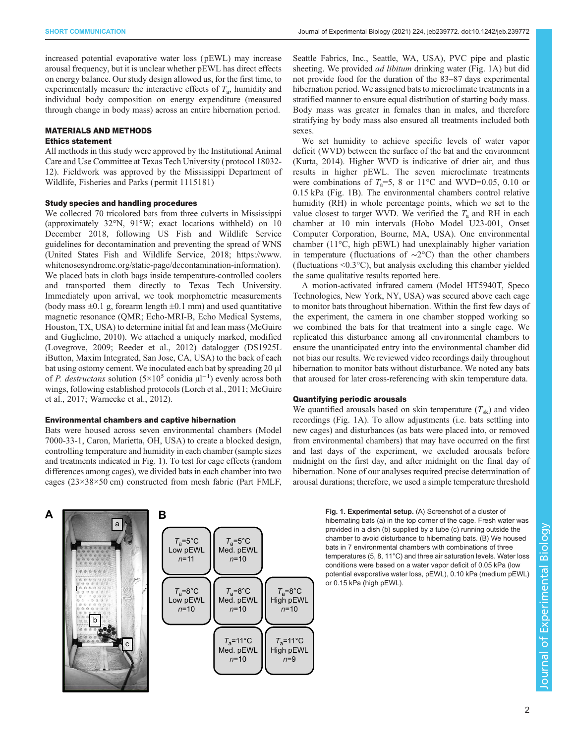increased potential evaporative water loss ( pEWL) may increase arousal frequency, but it is unclear whether pEWL has direct effects on energy balance. Our study design allowed us, for the first time, to experimentally measure the interactive effects of  $T_a$ , humidity and individual body composition on energy expenditure (measured through change in body mass) across an entire hibernation period.

# MATERIALS AND METHODS

## Ethics statement

All methods in this study were approved by the Institutional Animal Care and Use Committee at Texas Tech University ( protocol 18032- 12). Fieldwork was approved by the Mississippi Department of Wildlife, Fisheries and Parks ( permit 1115181)

## Study species and handling procedures

We collected 70 tricolored bats from three culverts in Mississippi (approximately 32°N, 91°W; exact locations withheld) on 10 December 2018, following US Fish and Wildlife Service guidelines for decontamination and preventing the spread of WNS [\(United States Fish and Wildlife Service, 2018;](#page-5-0) [https://www.](https://www.whitenosesyndrome.org/static-page/decontamination-information) [whitenosesyndrome.org/static-page/decontamination-information](https://www.whitenosesyndrome.org/static-page/decontamination-information)). We placed bats in cloth bags inside temperature-controlled coolers and transported them directly to Texas Tech University. Immediately upon arrival, we took morphometric measurements (body mass  $\pm 0.1$  g, forearm length  $\pm 0.1$  mm) and used quantitative magnetic resonance (QMR; Echo-MRI-B, Echo Medical Systems, Houston, TX, USA) to determine initial fat and lean mass [\(McGuire](#page-4-0) [and Guglielmo, 2010\)](#page-4-0). We attached a uniquely marked, modified [\(Lovegrove, 2009;](#page-4-0) [Reeder et al., 2012](#page-5-0)) datalogger (DS1925L iButton, Maxim Integrated, San Jose, CA, USA) to the back of each bat using ostomy cement. We inoculated each bat by spreading 20 µl of P. destructans solution (5×10<sup>5</sup> conidia µl<sup>-1</sup>) evenly across both wings, following established protocols ([Lorch et al., 2011; McGuire](#page-4-0) [et al., 2017;](#page-4-0) [Warnecke et al., 2012\)](#page-5-0).

# Environmental chambers and captive hibernation

Bats were housed across seven environmental chambers (Model 7000-33-1, Caron, Marietta, OH, USA) to create a blocked design, controlling temperature and humidity in each chamber (sample sizes and treatments indicated in Fig. 1). To test for cage effects (random differences among cages), we divided bats in each chamber into two cages (23×38×50 cm) constructed from mesh fabric (Part FMLF,

*T*a=8°C High pEWL *n*=10 *T*a=11°C High pEWL *n*=9  $T_a$ =11°C Med. pEWL *n*=10 *T*a=5°C Low pEWL *n*=11 *T*a=5°C Med. pEWL *n*=10 *T*a=8°C Med. pEWL *n*=10 **A** b a c **B** *T*a=8°C Low pEWL *n*=10

Seattle Fabrics, Inc., Seattle, WA, USA), PVC pipe and plastic sheeting. We provided *ad libitum* drinking water (Fig. 1A) but did not provide food for the duration of the 83–87 days experimental hibernation period. We assigned bats to microclimate treatments in a stratified manner to ensure equal distribution of starting body mass. Body mass was greater in females than in males, and therefore stratifying by body mass also ensured all treatments included both sexes.

We set humidity to achieve specific levels of water vapor deficit (WVD) between the surface of the bat and the environment [\(Kurta, 2014](#page-4-0)). Higher WVD is indicative of drier air, and thus results in higher pEWL. The seven microclimate treatments were combinations of  $T_a=5$ , 8 or 11°C and WVD=0.05, 0.10 or 0.15 kPa (Fig. 1B). The environmental chambers control relative humidity (RH) in whole percentage points, which we set to the value closest to target WVD. We verified the  $T_a$  and RH in each chamber at 10 min intervals (Hobo Model U23-001, Onset Computer Corporation, Bourne, MA, USA). One environmental chamber (11°C, high pEWL) had unexplainably higher variation in temperature (fluctuations of ∼2°C) than the other chambers (fluctuations <0.3°C), but analysis excluding this chamber yielded the same qualitative results reported here.

A motion-activated infrared camera (Model HT5940T, Speco Technologies, New York, NY, USA) was secured above each cage to monitor bats throughout hibernation. Within the first few days of the experiment, the camera in one chamber stopped working so we combined the bats for that treatment into a single cage. We replicated this disturbance among all environmental chambers to ensure the unanticipated entry into the environmental chamber did not bias our results. We reviewed video recordings daily throughout hibernation to monitor bats without disturbance. We noted any bats that aroused for later cross-referencing with skin temperature data.

# Quantifying periodic arousals

We quantified arousals based on skin temperature  $(T_{sk})$  and video recordings (Fig. 1A). To allow adjustments (i.e. bats settling into new cages) and disturbances (as bats were placed into, or removed from environmental chambers) that may have occurred on the first and last days of the experiment, we excluded arousals before midnight on the first day, and after midnight on the final day of hibernation. None of our analyses required precise determination of arousal durations; therefore, we used a simple temperature threshold

> Fig. 1. Experimental setup. (A) Screenshot of a cluster of hibernating bats (a) in the top corner of the cage. Fresh water was provided in a dish (b) supplied by a tube (c) running outside the chamber to avoid disturbance to hibernating bats. (B) We housed bats in 7 environmental chambers with combinations of three temperatures (5, 8, 11°C) and three air saturation levels. Water loss conditions were based on a water vapor deficit of 0.05 kPa (low potential evaporative water loss, pEWL), 0.10 kPa (medium pEWL) or 0.15 kPa (high pEWL).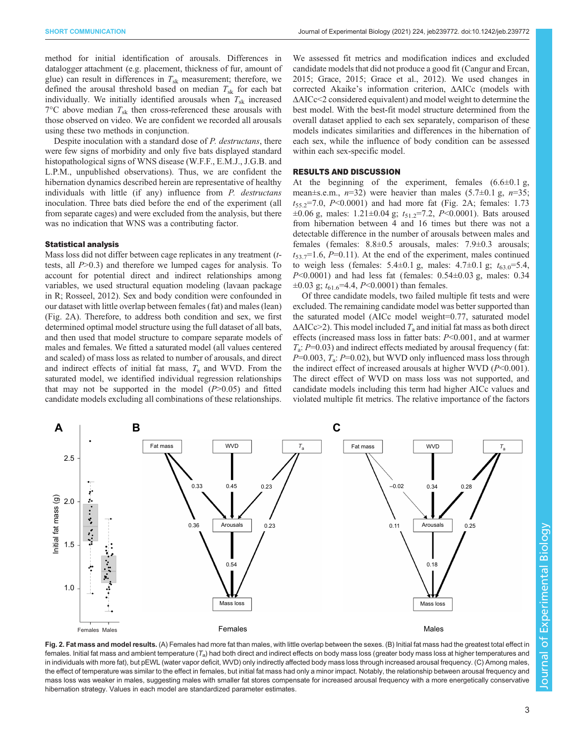<span id="page-2-0"></span>method for initial identification of arousals. Differences in datalogger attachment (e.g. placement, thickness of fur, amount of glue) can result in differences in  $T_{sk}$  measurement; therefore, we defined the arousal threshold based on median  $T_{sk}$  for each bat individually. We initially identified arousals when  $T_{sk}$  increased  $7^{\circ}$ C above median  $T_{sk}$  then cross-referenced these arousals with those observed on video. We are confident we recorded all arousals using these two methods in conjunction.

Despite inoculation with a standard dose of P. destructans, there were few signs of morbidity and only five bats displayed standard histopathological signs of WNS disease (W.F.F., E.M.J., J.G.B. and L.P.M., unpublished observations). Thus, we are confident the hibernation dynamics described herein are representative of healthy individuals with little (if any) influence from *P. destructans* inoculation. Three bats died before the end of the experiment (all from separate cages) and were excluded from the analysis, but there was no indication that WNS was a contributing factor.

#### Statistical analysis

Mass loss did not differ between cage replicates in any treatment (ttests, all  $P > 0.3$ ) and therefore we lumped cages for analysis. To account for potential direct and indirect relationships among variables, we used structural equation modeling (lavaan package in R; [Rosseel, 2012](#page-5-0)). Sex and body condition were confounded in our dataset with little overlap between females (fat) and males (lean) (Fig. 2A). Therefore, to address both condition and sex, we first determined optimal model structure using the full dataset of all bats, and then used that model structure to compare separate models of males and females. We fitted a saturated model (all values centered and scaled) of mass loss as related to number of arousals, and direct and indirect effects of initial fat mass,  $T_a$  and WVD. From the saturated model, we identified individual regression relationships that may not be supported in the model  $(P>0.05)$  and fitted candidate models excluding all combinations of these relationships.

We assessed fit metrics and modification indices and excluded candidate models that did not produce a good fit ([Cangur and Ercan,](#page-4-0) [2015; Grace, 2015](#page-4-0); [Grace et al., 2012\)](#page-4-0). We used changes in corrected Akaike's information criterion, ΔAICc (models with ΔAICc<2 considered equivalent) and model weight to determine the best model. With the best-fit model structure determined from the overall dataset applied to each sex separately, comparison of these models indicates similarities and differences in the hibernation of each sex, while the influence of body condition can be assessed within each sex-specific model.

## RESULTS AND DISCUSSION

At the beginning of the experiment, females  $(6.6\pm0.1 \text{ g})$ , mean $\pm$ s.e.m.,  $n=32$ ) were heavier than males (5.7 $\pm$ 0.1 g,  $n=35$ ;  $t_{55.2}$ =7.0, P<0.0001) and had more fat (Fig. 2A; females: 1.73  $\pm 0.06$  g, males: 1.21 $\pm 0.04$  g;  $t_{51.2} = 7.2$ , P<0.0001). Bats aroused from hibernation between 4 and 16 times but there was not a detectable difference in the number of arousals between males and females (females: 8.8±0.5 arousals, males: 7.9±0.3 arousals;  $t_{53.7}$ =1.6, P=0.11). At the end of the experiment, males continued to weigh less (females:  $5.4 \pm 0.1$  g, males:  $4.7 \pm 0.1$  g;  $t_{63.0} = 5.4$ ,  $P<0.0001$ ) and had less fat (females:  $0.54\pm0.03$  g, males:  $0.34$  $\pm 0.03$  g;  $t_{61.6}$ =4.4, P<0.0001) than females.

Of three candidate models, two failed multiple fit tests and were excluded. The remaining candidate model was better supported than the saturated model (AICc model weight=0.77, saturated model  $\Delta AICc>2$ ). This model included  $T_a$  and initial fat mass as both direct effects (increased mass loss in fatter bats: P<0.001, and at warmer  $T_a$ : P=0.03) and indirect effects mediated by arousal frequency (fat:  $P=0.003$ ,  $T_a$ :  $P=0.02$ ), but WVD only influenced mass loss through the indirect effect of increased arousals at higher WVD  $(P<0.001)$ . The direct effect of WVD on mass loss was not supported, and candidate models including this term had higher AICc values and violated multiple fit metrics. The relative importance of the factors



Fig. 2. Fat mass and model results. (A) Females had more fat than males, with little overlap between the sexes. (B) Initial fat mass had the greatest total effect in females. Initial fat mass and ambient temperature ( $T_a$ ) had both direct and indirect effects on body mass loss (greater body mass loss at higher temperatures and in individuals with more fat), but pEWL (water vapor deficit, WVD) only indirectly affected body mass loss through increased arousal frequency. (C) Among males, the effect of temperature was similar to the effect in females, but initial fat mass had only a minor impact. Notably, the relationship between arousal frequency and mass loss was weaker in males, suggesting males with smaller fat stores compensate for increased arousal frequency with a more energetically conservative hibernation strategy. Values in each model are standardized parameter estimates.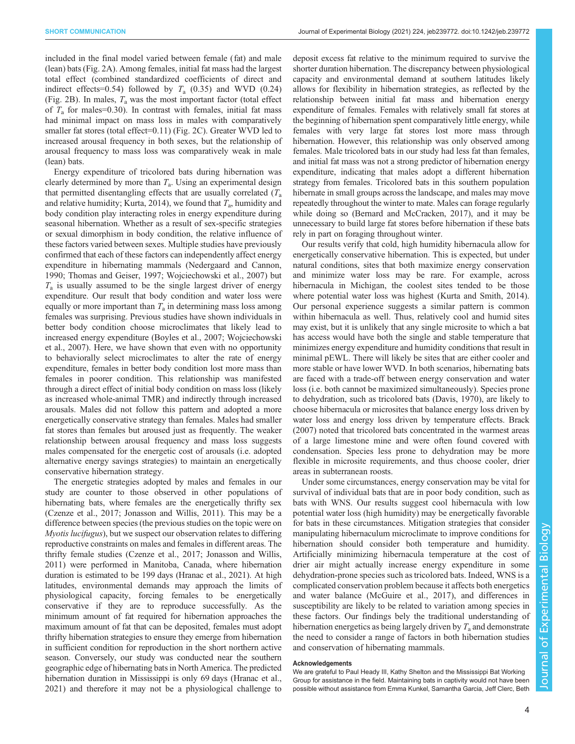included in the final model varied between female (fat) and male (lean) bats ([Fig. 2](#page-2-0)A). Among females, initial fat mass had the largest total effect (combined standardized coefficients of direct and indirect effects=0.54) followed by  $T_a$  (0.35) and WVD (0.24) [\(Fig. 2B](#page-2-0)). In males,  $T_a$  was the most important factor (total effect of  $T_a$  for males=0.30). In contrast with females, initial fat mass had minimal impact on mass loss in males with comparatively smaller fat stores (total effect=0.11) ([Fig. 2C](#page-2-0)). Greater WVD led to increased arousal frequency in both sexes, but the relationship of arousal frequency to mass loss was comparatively weak in male (lean) bats.

Energy expenditure of tricolored bats during hibernation was clearly determined by more than  $T_a$ . Using an experimental design that permitted disentangling effects that are usually correlated  $(T_a)$ and relative humidity; [Kurta, 2014](#page-4-0)), we found that  $T_a$ , humidity and body condition play interacting roles in energy expenditure during seasonal hibernation. Whether as a result of sex-specific strategies or sexual dimorphism in body condition, the relative influence of these factors varied between sexes. Multiple studies have previously confirmed that each of these factors can independently affect energy expenditure in hibernating mammals ([Nedergaard and Cannon,](#page-5-0) [1990](#page-5-0); [Thomas and Geiser, 1997; Wojciechowski et al., 2007\)](#page-5-0) but  $T_a$  is usually assumed to be the single largest driver of energy expenditure. Our result that body condition and water loss were equally or more important than  $T_a$  in determining mass loss among females was surprising. Previous studies have shown individuals in better body condition choose microclimates that likely lead to increased energy expenditure [\(Boyles et al., 2007;](#page-4-0) [Wojciechowski](#page-5-0) [et al., 2007\)](#page-5-0). Here, we have shown that even with no opportunity to behaviorally select microclimates to alter the rate of energy expenditure, females in better body condition lost more mass than females in poorer condition. This relationship was manifested through a direct effect of initial body condition on mass loss (likely as increased whole-animal TMR) and indirectly through increased arousals. Males did not follow this pattern and adopted a more energetically conservative strategy than females. Males had smaller fat stores than females but aroused just as frequently. The weaker relationship between arousal frequency and mass loss suggests males compensated for the energetic cost of arousals (i.e. adopted alternative energy savings strategies) to maintain an energetically conservative hibernation strategy.

The energetic strategies adopted by males and females in our study are counter to those observed in other populations of hibernating bats, where females are the energetically thrifty sex [\(Czenze et al., 2017](#page-4-0); [Jonasson and Willis, 2011](#page-4-0)). This may be a difference between species (the previous studies on the topic were on Myotis lucifugus), but we suspect our observation relates to differing reproductive constraints on males and females in different areas. The thrifty female studies ([Czenze et al., 2017](#page-4-0); [Jonasson and Willis,](#page-4-0) [2011\)](#page-4-0) were performed in Manitoba, Canada, where hibernation duration is estimated to be 199 days [\(Hranac et al., 2021\)](#page-4-0). At high latitudes, environmental demands may approach the limits of physiological capacity, forcing females to be energetically conservative if they are to reproduce successfully. As the minimum amount of fat required for hibernation approaches the maximum amount of fat that can be deposited, females must adopt thrifty hibernation strategies to ensure they emerge from hibernation in sufficient condition for reproduction in the short northern active season. Conversely, our study was conducted near the southern geographic edge of hibernating bats in North America. The predicted hibernation duration in Mississippi is only 69 days ([Hranac et al.,](#page-4-0) [2021\)](#page-4-0) and therefore it may not be a physiological challenge to

deposit excess fat relative to the minimum required to survive the shorter duration hibernation. The discrepancy between physiological capacity and environmental demand at southern latitudes likely allows for flexibility in hibernation strategies, as reflected by the relationship between initial fat mass and hibernation energy expenditure of females. Females with relatively small fat stores at the beginning of hibernation spent comparatively little energy, while females with very large fat stores lost more mass through hibernation. However, this relationship was only observed among females. Male tricolored bats in our study had less fat than females, and initial fat mass was not a strong predictor of hibernation energy expenditure, indicating that males adopt a different hibernation strategy from females. Tricolored bats in this southern population hibernate in small groups across the landscape, and males may move repeatedly throughout the winter to mate. Males can forage regularly while doing so [\(Bernard and McCracken, 2017](#page-4-0)), and it may be unnecessary to build large fat stores before hibernation if these bats rely in part on foraging throughout winter.

Our results verify that cold, high humidity hibernacula allow for energetically conservative hibernation. This is expected, but under natural conditions, sites that both maximize energy conservation and minimize water loss may be rare. For example, across hibernacula in Michigan, the coolest sites tended to be those where potential water loss was highest ([Kurta and Smith, 2014\)](#page-4-0). Our personal experience suggests a similar pattern is common within hibernacula as well. Thus, relatively cool and humid sites may exist, but it is unlikely that any single microsite to which a bat has access would have both the single and stable temperature that minimizes energy expenditure and humidity conditions that result in minimal pEWL. There will likely be sites that are either cooler and more stable or have lower WVD. In both scenarios, hibernating bats are faced with a trade-off between energy conservation and water loss (i.e. both cannot be maximized simultaneously). Species prone to dehydration, such as tricolored bats ([Davis, 1970\)](#page-4-0), are likely to choose hibernacula or microsites that balance energy loss driven by water loss and energy loss driven by temperature effects. [Brack](#page-4-0) [\(2007\)](#page-4-0) noted that tricolored bats concentrated in the warmest areas of a large limestone mine and were often found covered with condensation. Species less prone to dehydration may be more flexible in microsite requirements, and thus choose cooler, drier areas in subterranean roosts.

Under some circumstances, energy conservation may be vital for survival of individual bats that are in poor body condition, such as bats with WNS. Our results suggest cool hibernacula with low potential water loss (high humidity) may be energetically favorable for bats in these circumstances. Mitigation strategies that consider manipulating hibernaculum microclimate to improve conditions for hibernation should consider both temperature and humidity. Artificially minimizing hibernacula temperature at the cost of drier air might actually increase energy expenditure in some dehydration-prone species such as tricolored bats. Indeed, WNS is a complicated conservation problem because it affects both energetics and water balance ([McGuire et al., 2017](#page-4-0)), and differences in susceptibility are likely to be related to variation among species in these factors. Our findings bely the traditional understanding of hibernation energetics as being largely driven by  $T_a$  and demonstrate the need to consider a range of factors in both hibernation studies and conservation of hibernating mammals.

#### **Acknowledgements**

We are grateful to Paul Heady III, Kathy Shelton and the Mississippi Bat Working Group for assistance in the field. Maintaining bats in captivity would not have been possible without assistance from Emma Kunkel, Samantha Garcia, Jeff Clerc, Beth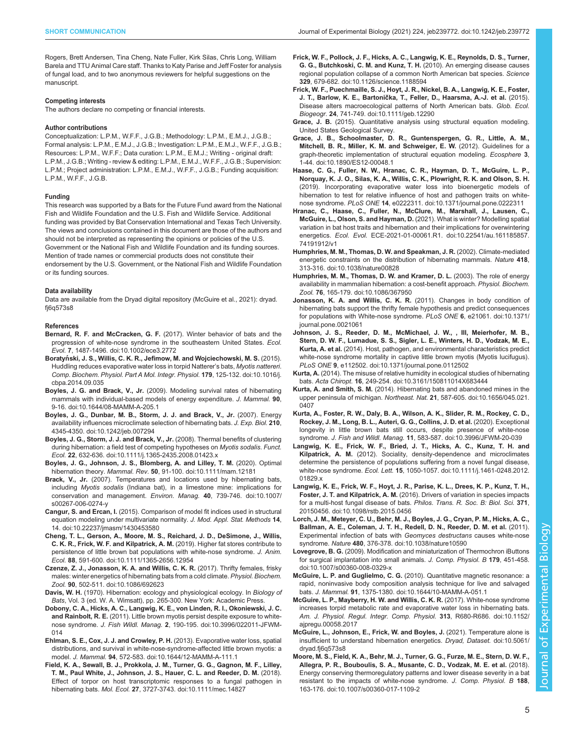<span id="page-4-0"></span>Rogers, Brett Andersen, Tina Cheng, Nate Fuller, Kirk Silas, Chris Long, William Barela and TTU Animal Care staff. Thanks to Katy Parise and Jeff Foster for analysis of fungal load, and to two anonymous reviewers for helpful suggestions on the manuscript.

#### Competing interests

The authors declare no competing or financial interests.

#### Author contributions

Conceptualization: L.P.M., W.F.F., J.G.B.; Methodology: L.P.M., E.M.J., J.G.B.; Formal analysis: L.P.M., E.M.J., J.G.B.; Investigation: L.P.M., E.M.J., W.F.F., J.G.B.; Resources: L.P.M., W.F.F.; Data curation: L.P.M., E.M.J.; Writing - original draft: L.P.M., J.G.B.; Writing - review & editing: L.P.M., E.M.J., W.F.F., J.G.B.; Supervision: L.P.M.; Project administration: L.P.M., E.M.J., W.F.F., J.G.B.; Funding acquisition: L.P.M., W.F.F., J.G.B.

#### Funding

This research was supported by a Bats for the Future Fund award from the National Fish and Wildlife Foundation and the U.S. Fish and Wildlife Service. Additional funding was provided by Bat Conservation International and Texas Tech University. The views and conclusions contained in this document are those of the authors and should not be interpreted as representing the opinions or policies of the U.S. Government or the National Fish and Wildlife Foundation and its funding sources. Mention of trade names or commercial products does not constitute their endorsement by the U.S. Government, or the National Fish and Wildlife Foundation or its funding sources.

#### Data availability

Data are available from the Dryad digital repository (McGuire et al., 2021): [dryad.](https://doi.org/10.5061/dryad.fj6q573s8) [fj6q573s8](https://doi.org/10.5061/dryad.fj6q573s8)

#### References

- Bernard, R. F. and McCracken, G. F. [\(2017\). Winter behavior of bats and the](https://doi.org/10.1002/ece3.2772) [progression of white-nose syndrome in the southeastern United States.](https://doi.org/10.1002/ece3.2772) Ecol. Evol. 7[, 1487-1496. doi:10.1002/ece3.2772](https://doi.org/10.1002/ece3.2772)
- Boratyń[ski, J. S., Willis, C. K. R., Jefimow, M. and Wojciechowski, M. S.](https://doi.org/10.1016/j.cbpa.2014.09.035) (2015). [Huddling reduces evaporative water loss in torpid Natterer](https://doi.org/10.1016/j.cbpa.2014.09.035)'s bats, Myotis nattereri. [Comp. Biochem. Physiol. Part A Mol. Integr. Physiol.](https://doi.org/10.1016/j.cbpa.2014.09.035) 179, 125-132. doi:10.1016/j. [cbpa.2014.09.035](https://doi.org/10.1016/j.cbpa.2014.09.035)
- Boyles, J. G. and Brack, V., Jr. [\(2009\). Modeling survival rates of hibernating](https://doi.org/10.1644/08-MAMM-A-205.1) [mammals with individual-based models of energy expenditure.](https://doi.org/10.1644/08-MAMM-A-205.1) J. Mammal. 90, [9-16. doi:10.1644/08-MAMM-A-205.1](https://doi.org/10.1644/08-MAMM-A-205.1)
- [Boyles, J. G., Dunbar, M. B., Storm, J. J. and Brack, V., Jr.](https://doi.org/10.1242/jeb.007294) (2007). Energy [availability influences microclimate selection of hibernating bats.](https://doi.org/10.1242/jeb.007294) J. Exp. Biol. 210, [4345-4350. doi:10.1242/jeb.007294](https://doi.org/10.1242/jeb.007294)
- [Boyles, J. G., Storm, J. J. and Brack, V., Jr.](https://doi.org/10.1111/j.1365-2435.2008.01423.x) (2008). Thermal benefits of clustering [during hibernation: a field test of competing hypotheses on](https://doi.org/10.1111/j.1365-2435.2008.01423.x) Myotis sodalis. Funct. Ecol. 22[, 632-636. doi:10.1111/j.1365-2435.2008.01423.x](https://doi.org/10.1111/j.1365-2435.2008.01423.x)
- [Boyles, J. G., Johnson, J. S., Blomberg, A. and Lilley, T. M.](https://doi.org/10.1111/mam.12181) (2020). Optimal hibernation theory. Mammal. Rev. 50[, 91-100. doi:10.1111/mam.12181](https://doi.org/10.1111/mam.12181)
- Brack, V., Jr. [\(2007\). Temperatures and locations used by hibernating bats,](https://doi.org/10.1007/s00267-006-0274-y) including Myotis sodalis [\(Indiana bat\), in a limestone mine: implications for](https://doi.org/10.1007/s00267-006-0274-y) [conservation and management.](https://doi.org/10.1007/s00267-006-0274-y) Environ. Manag. 40, 739-746. doi:10.1007/ [s00267-006-0274-y](https://doi.org/10.1007/s00267-006-0274-y)
- Cangur, S. and Ercan, I. [\(2015\). Comparison of model fit indices used in structural](https://doi.org/10.22237/jmasm/1430453580) [equation modeling under multivariate normality.](https://doi.org/10.22237/jmasm/1430453580) J. Mod. Appl. Stat. Methods 14, [14. doi:10.22237/jmasm/1430453580](https://doi.org/10.22237/jmasm/1430453580)
- [Cheng, T. L., Gerson, A., Moore, M. S., Reichard, J. D., DeSimone, J., Willis,](https://doi.org/10.1111/1365-2656.12954) [C. K. R., Frick, W. F. and Kilpatrick, A. M.](https://doi.org/10.1111/1365-2656.12954) (2019). Higher fat stores contribute to [persistence of little brown bat populations with white-nose syndrome.](https://doi.org/10.1111/1365-2656.12954) J. Anim. Ecol. 88[, 591-600. doi:10.1111/1365-2656.12954](https://doi.org/10.1111/1365-2656.12954)
- [Czenze, Z. J., Jonasson, K. A. and Willis, C. K. R.](https://doi.org/10.1086/692623) (2017). Thrifty females, frisky [males: winter energetics of hibernating bats from a cold climate.](https://doi.org/10.1086/692623) Physiol. Biochem. Zool. 90[, 502-511. doi:10.1086/692623](https://doi.org/10.1086/692623)
- Davis, W. H. (1970). Hibernation: ecology and physiological ecology. In Biology of Bats, Vol. 3 (ed. W. A. Wimsatt), pp. 265-300. New York: Academic Press.
- [Dobony, C. A., Hicks, A. C., Langwig, K. E., von Linden, R. I., Okoniewski, J. C.](https://doi.org/10.3996/022011-JFWM-014) and Rainbolt, R. E. [\(2011\). Little brown myotis persist despite exposure to white](https://doi.org/10.3996/022011-JFWM-014)nose syndrome. J. Fish Wildl. Manag. 2[, 190-195. doi:10.3996/022011-JFWM-](https://doi.org/10.3996/022011-JFWM-014)[014](https://doi.org/10.3996/022011-JFWM-014)
- [Ehlman, S. E., Cox, J. J. and Crowley, P. H.](https://doi.org/10.1644/12-MAMM-A-111.1) (2013). Evaporative water loss, spatial [distributions, and survival in white-nose-syndrome-affected little brown myotis: a](https://doi.org/10.1644/12-MAMM-A-111.1) model. J. Mammal. 94[, 572-583. doi:10.1644/12-MAMM-A-111.1](https://doi.org/10.1644/12-MAMM-A-111.1)
- [Field, K. A., Sewall, B. J., Prokkola, J. M., Turner, G. G., Gagnon, M. F., Lilley,](https://doi.org/10.1111/mec.14827) [T. M., Paul White, J., Johnson, J. S., Hauer, C. L. and Reeder, D. M.](https://doi.org/10.1111/mec.14827) (2018). [Effect of torpor on host transcriptomic responses to a fungal pathogen in](https://doi.org/10.1111/mec.14827) hibernating bats. Mol. Ecol. 27[, 3727-3743. doi:10.1111/mec.14827](https://doi.org/10.1111/mec.14827)
- [Frick, W. F., Pollock, J. F., Hicks, A. C., Langwig, K. E., Reynolds, D. S., Turner,](https://doi.org/10.1126/science.1188594) [G. G., Butchkoski, C. M. and Kunz, T. H.](https://doi.org/10.1126/science.1188594) (2010). An emerging disease causes [regional population collapse of a common North American bat species.](https://doi.org/10.1126/science.1188594) Science 329[, 679-682. doi:10.1126/science.1188594](https://doi.org/10.1126/science.1188594)
- [Frick, W. F., Puechmaille, S. J., Hoyt, J. R., Nickel, B. A., Langwig, K. E., Foster,](https://doi.org/10.1111/geb.12290) J. T., Barlow, K. E., Bartonič[ka, T., Feller, D., Haarsma, A.-J. et al.](https://doi.org/10.1111/geb.12290) (2015). [Disease alters macroecological patterns of North American bats.](https://doi.org/10.1111/geb.12290) Glob. Ecol. Biogeogr. 24[, 741-749. doi:10.1111/geb.12290](https://doi.org/10.1111/geb.12290)
- Grace, J. B. (2015). Quantitative analysis using structural equation modeling. United States Geological Survey.
- [Grace, J. B., Schoolmaster, D. R., Guntenspergen, G. R., Little, A. M.,](https://doi.org/10.1890/ES12-00048.1) [Mitchell, B. R., Miller, K. M. and Schweiger, E. W.](https://doi.org/10.1890/ES12-00048.1) (2012). Guidelines for a [graph-theoretic implementation of structural equation modeling.](https://doi.org/10.1890/ES12-00048.1) Ecosphere 3, [1-44. doi:10.1890/ES12-00048.1](https://doi.org/10.1890/ES12-00048.1)
- [Haase, C. G., Fuller, N. W., Hranac, C. R., Hayman, D. T., McGuire, L. P.,](https://doi.org/10.1371/journal.pone.0222311) [Norquay, K. J. O., Silas, K. A., Willis, C. K., Plowright, R. K. and Olson, S. H.](https://doi.org/10.1371/journal.pone.0222311) [\(2019\). Incorporating evaporative water loss into bioenergetic models of](https://doi.org/10.1371/journal.pone.0222311) [hibernation to test for relative influence of host and pathogen traits on white](https://doi.org/10.1371/journal.pone.0222311)nose syndrome. PLoS ONE 14[, e0222311. doi:10.1371/journal.pone.0222311](https://doi.org/10.1371/journal.pone.0222311)
- [Hranac, C., Haase, C., Fuller, N., McClure, M., Marshall, J., Lausen, C.,](https://doi.org/10.22541/au.161185857.74191912/v1) [McGuire, L., Olson, S. and Hayman, D.](https://doi.org/10.22541/au.161185857.74191912/v1) (2021). What is winter? Modelling spatial [variation in bat host traits and hibernation and their implications for overwintering](https://doi.org/10.22541/au.161185857.74191912/v1) energetics. Ecol. Evol. [ECE-2021-01-00061.R1. doi:10.22541/au.161185857.](https://doi.org/10.22541/au.161185857.74191912/v1) [74191912/v1](https://doi.org/10.22541/au.161185857.74191912/v1)
- [Humphries, M. M., Thomas, D. W. and Speakman, J. R.](https://doi.org/10.1038/nature00828) (2002). Climate-mediated [energetic constraints on the distribution of hibernating mammals.](https://doi.org/10.1038/nature00828) Nature 418, [313-316. doi:10.1038/nature00828](https://doi.org/10.1038/nature00828)
- [Humphries, M. M., Thomas, D. W. and Kramer, D. L.](https://doi.org/10.1086/367950) (2003). The role of energy [availability in mammalian hibernation: a cost-benefit approach.](https://doi.org/10.1086/367950) Physiol. Biochem. Zool. 76[, 165-179. doi:10.1086/367950](https://doi.org/10.1086/367950)
- [Jonasson, K. A. and Willis, C. K. R.](https://doi.org/10.1371/journal.pone.0021061) (2011). Changes in body condition of [hibernating bats support the thrifty female hypothesis and predict consequences](https://doi.org/10.1371/journal.pone.0021061) [for populations with White-nose syndrome.](https://doi.org/10.1371/journal.pone.0021061) PLoS ONE 6, e21061. doi:10.1371/ [journal.pone.0021061](https://doi.org/10.1371/journal.pone.0021061)
- [Johnson, J. S., Reeder, D. M., McMichael, J. W., , III, Meierhofer, M. B.,](https://doi.org/10.1371/journal.pone.0112502) [Stern, D. W. F., Lumadue, S. S., Sigler, L. E., Winters, H. D., Vodzak, M. E.,](https://doi.org/10.1371/journal.pone.0112502) Kurta, A. et al. [\(2014\). Host, pathogen, and environmental characteristics predict](https://doi.org/10.1371/journal.pone.0112502) [white-nose syndrome mortality in captive little brown myotis \(Myotis lucifugus\).](https://doi.org/10.1371/journal.pone.0112502) PLoS ONE 9[, e112502. doi:10.1371/journal.pone.0112502](https://doi.org/10.1371/journal.pone.0112502)
- Kurta, A. [\(2014\). The misuse of relative humidity in ecological studies of hibernating](https://doi.org/10.3161/150811014X683444) bats. Acta Chiropt. 16[, 249-254. doi:10.3161/150811014X683444](https://doi.org/10.3161/150811014X683444)
- Kurta, A. and Smith, S. M. [\(2014\). Hibernating bats and abandoned mines in the](https://doi.org/10.1656/045.021.0407) upper peninsula of michigan. Northeast. Nat. 21[, 587-605. doi:10.1656/045.021.](https://doi.org/10.1656/045.021.0407) [0407](https://doi.org/10.1656/045.021.0407)
- [Kurta, A., Foster, R. W., Daly, B. A., Wilson, A. K., Slider, R. M., Rockey, C. D.,](https://doi.org/10.3996/JFWM-20-039) [Rockey, J. M., Long, B. L., Auteri, G. G., Collins, J. D. et al.](https://doi.org/10.3996/JFWM-20-039) (2020). Exceptional [longevity in little brown bats still occurs, despite presence of white-nose](https://doi.org/10.3996/JFWM-20-039) syndrome. J. Fish and Wildl. Manag. 11[, 583-587. doi:10.3996/JFWM-20-039](https://doi.org/10.3996/JFWM-20-039)
- [Langwig, K. E., Frick, W. F., Bried, J. T., Hicks, A. C., Kunz, T. H. and](https://doi.org/10.1111/j.1461-0248.2012.01829.x) Kilpatrick, A. M. [\(2012\). Sociality, density-dependence and microclimates](https://doi.org/10.1111/j.1461-0248.2012.01829.x) [determine the persistence of populations suffering from a novel fungal disease,](https://doi.org/10.1111/j.1461-0248.2012.01829.x) white-nose syndrome. Ecol. Lett. 15[, 1050-1057. doi:10.1111/j.1461-0248.2012.](https://doi.org/10.1111/j.1461-0248.2012.01829.x) [01829.x](https://doi.org/10.1111/j.1461-0248.2012.01829.x)
- [Langwig, K. E., Frick, W. F., Hoyt, J. R., Parise, K. L., Drees, K. P., Kunz, T. H.,](https://doi.org/10.1098/rstb.2015.0456) Foster, J. T. and Kilpatrick, A. M. [\(2016\). Drivers of variation in species impacts](https://doi.org/10.1098/rstb.2015.0456) [for a multi-host fungal disease of bats.](https://doi.org/10.1098/rstb.2015.0456) Philos. Trans. R. Soc. B: Biol. Sci. 371, [20150456. doi:10.1098/rstb.2015.0456](https://doi.org/10.1098/rstb.2015.0456)
- [Lorch, J. M., Meteyer, C. U., Behr, M. J., Boyles, J. G., Cryan, P. M., Hicks, A. C.,](https://doi.org/10.1038/nature10590) [Ballman, A. E., Coleman, J. T. H., Redell, D. N., Reeder, D. M. et al.](https://doi.org/10.1038/nature10590) (2011). [Experimental infection of bats with](https://doi.org/10.1038/nature10590) Geomyces destructans causes white-nose syndrome. Nature 480[, 376-378. doi:10.1038/nature10590](https://doi.org/10.1038/nature10590)
- Lovegrove, B. G. [\(2009\). Modification and miniaturization of Thermochron iButtons](https://doi.org/10.1007/s00360-008-0329-x) [for surgical implantation into small animals.](https://doi.org/10.1007/s00360-008-0329-x) J. Comp. Physiol. B 179, 451-458. [doi:10.1007/s00360-008-0329-x](https://doi.org/10.1007/s00360-008-0329-x)
- McGuire, L. P. and Guglielmo, C. G. [\(2010\). Quantitative magnetic resonance: a](https://doi.org/10.1644/10-MAMM-A-051.1) [rapid, noninvasive body composition analysis technique for live and salvaged](https://doi.org/10.1644/10-MAMM-A-051.1) bats. J. Mammal. 91[, 1375-1380. doi:10.1644/10-MAMM-A-051.1](https://doi.org/10.1644/10-MAMM-A-051.1)
- [McGuire, L. P., Mayberry, H. W. and Willis, C. K. R.](https://doi.org/10.1152/ajpregu.00058.2017) (2017). White-nose syndrome [increases torpid metabolic rate and evaporative water loss in hibernating bats.](https://doi.org/10.1152/ajpregu.00058.2017) [Am. J. Physiol. Regul. Integr. Comp. Physiol.](https://doi.org/10.1152/ajpregu.00058.2017) 313, R680-R686. doi:10.1152/ [ajpregu.00058.2017](https://doi.org/10.1152/ajpregu.00058.2017)
- [McGuire, L., Johnson, E., Frick, W. and Boyles, J.](https://doi.org/10.5061/dryad.fj6q573s8) (2021). Temperature alone is [insufficient to understand hibernation energetics.](https://doi.org/10.5061/dryad.fj6q573s8) Dryad, Dataset. doi:10.5061/ [dryad.fj6q573s8](https://doi.org/10.5061/dryad.fj6q573s8)
- [Moore, M. S., Field, K. A., Behr, M. J., Turner, G. G., Furze, M. E., Stern, D. W. F.,](https://doi.org/10.1007/s00360-017-1109-2) [Allegra, P. R., Bouboulis, S. A., Musante, C. D., Vodzak, M. E. et al.](https://doi.org/10.1007/s00360-017-1109-2) (2018). [Energy conserving thermoregulatory patterns and lower disease severity in a bat](https://doi.org/10.1007/s00360-017-1109-2) [resistant to the impacts of white-nose syndrome.](https://doi.org/10.1007/s00360-017-1109-2) J. Comp. Physiol. B 188, [163-176. doi:10.1007/s00360-017-1109-2](https://doi.org/10.1007/s00360-017-1109-2)